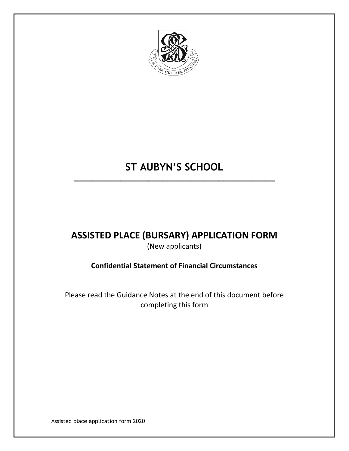

# **ST AUBYN'S SCHOOL**

**\_\_\_\_\_\_\_\_\_\_\_\_\_\_\_\_\_\_\_\_\_\_\_\_\_\_\_\_\_\_\_\_\_\_\_\_\_\_\_\_\_\_\_**

## **ASSISTED PLACE (BURSARY) APPLICATION FORM** (New applicants)

## **Confidential Statement of Financial Circumstances**

Please read the Guidance Notes at the end of this document before completing this form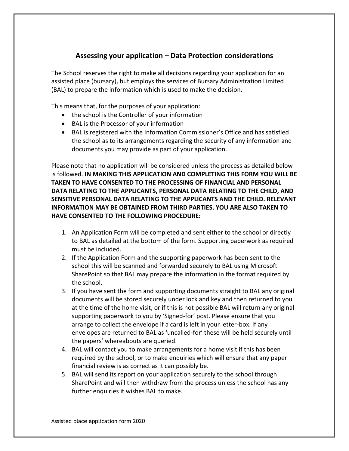### **Assessing your application – Data Protection considerations**

The School reserves the right to make all decisions regarding your application for an assisted place (bursary), but employs the services of Bursary Administration Limited (BAL) to prepare the information which is used to make the decision.

This means that, for the purposes of your application:

- the school is the Controller of your information
- BAL is the Processor of your information
- BAL is registered with the Information Commissioner's Office and has satisfied the school as to its arrangements regarding the security of any information and documents you may provide as part of your application.

Please note that no application will be considered unless the process as detailed below is followed. **IN MAKING THIS APPLICATION AND COMPLETING THIS FORM YOU WILL BE TAKEN TO HAVE CONSENTED TO THE PROCESSING OF FINANCIAL AND PERSONAL DATA RELATING TO THE APPLICANTS, PERSONAL DATA RELATING TO THE CHILD, AND SENSITIVE PERSONAL DATA RELATING TO THE APPLICANTS AND THE CHILD. RELEVANT INFORMATION MAY BE OBTAINED FROM THIRD PARTIES. YOU ARE ALSO TAKEN TO HAVE CONSENTED TO THE FOLLOWING PROCEDURE:**

- 1. An Application Form will be completed and sent either to the school or directly to BAL as detailed at the bottom of the form. Supporting paperwork as required must be included.
- 2. If the Application Form and the supporting paperwork has been sent to the school this will be scanned and forwarded securely to BAL using Microsoft SharePoint so that BAL may prepare the information in the format required by the school.
- 3. If you have sent the form and supporting documents straight to BAL any original documents will be stored securely under lock and key and then returned to you at the time of the home visit, or if this is not possible BAL will return any original supporting paperwork to you by 'Signed-for' post. Please ensure that you arrange to collect the envelope if a card is left in your letter-box. If any envelopes are returned to BAL as 'uncalled-for' these will be held securely until the papers' whereabouts are queried.
- 4. BAL will contact you to make arrangements for a home visit if this has been required by the school, or to make enquiries which will ensure that any paper financial review is as correct as it can possibly be.
- 5. BAL will send its report on your application securely to the school through SharePoint and will then withdraw from the process unless the school has any further enquiries it wishes BAL to make.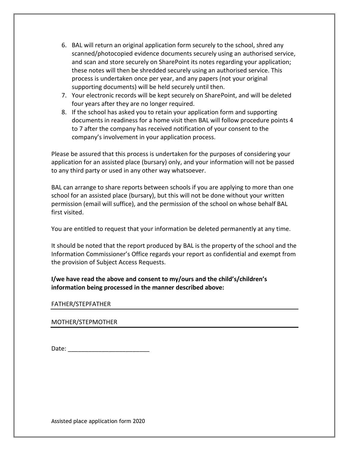- 6. BAL will return an original application form securely to the school, shred any scanned/photocopied evidence documents securely using an authorised service, and scan and store securely on SharePoint its notes regarding your application; these notes will then be shredded securely using an authorised service. This process is undertaken once per year, and any papers (not your original supporting documents) will be held securely until then.
- 7. Your electronic records will be kept securely on SharePoint, and will be deleted four years after they are no longer required.
- 8. If the school has asked you to retain your application form and supporting documents in readiness for a home visit then BAL will follow procedure points 4 to 7 after the company has received notification of your consent to the company's involvement in your application process.

Please be assured that this process is undertaken for the purposes of considering your application for an assisted place (bursary) only, and your information will not be passed to any third party or used in any other way whatsoever.

BAL can arrange to share reports between schools if you are applying to more than one school for an assisted place (bursary), but this will not be done without your written permission (email will suffice), and the permission of the school on whose behalf BAL first visited.

You are entitled to request that your information be deleted permanently at any time.

It should be noted that the report produced by BAL is the property of the school and the Information Commissioner's Office regards your report as confidential and exempt from the provision of Subject Access Requests.

**I/we have read the above and consent to my/ours and the child's/children's information being processed in the manner described above:**

#### FATHER/STEPFATHER

#### MOTHER/STEPMOTHER

Date: \_\_\_\_\_\_\_\_\_\_\_\_\_\_\_\_\_\_\_\_\_\_\_\_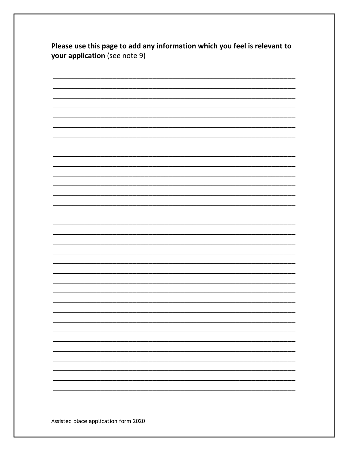| Please use this page to add any information which you feel is relevant to |
|---------------------------------------------------------------------------|
| <b>your application</b> (see note 9)                                      |

|  | - |
|--|---|
|  | - |
|  |   |
|  | - |
|  |   |
|  |   |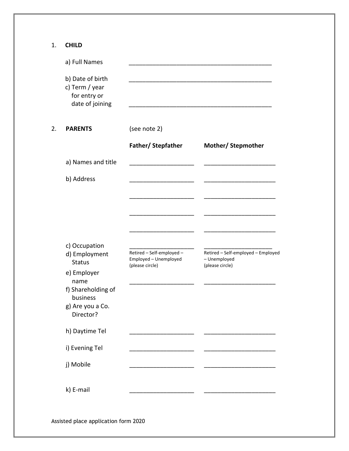1. **CHILD**

|    | a) Full Names                                                         |                                                                       |                                                                       |
|----|-----------------------------------------------------------------------|-----------------------------------------------------------------------|-----------------------------------------------------------------------|
|    | b) Date of birth<br>c) Term / year<br>for entry or<br>date of joining |                                                                       |                                                                       |
| 2. | <b>PARENTS</b>                                                        | (see note 2)                                                          |                                                                       |
|    |                                                                       | Father/ Stepfather                                                    | <b>Mother/ Stepmother</b>                                             |
|    | a) Names and title                                                    |                                                                       |                                                                       |
|    | b) Address                                                            |                                                                       |                                                                       |
|    |                                                                       |                                                                       |                                                                       |
|    |                                                                       |                                                                       |                                                                       |
|    |                                                                       |                                                                       |                                                                       |
|    | c) Occupation<br>d) Employment<br><b>Status</b>                       | Retired - Self-employed -<br>Employed - Unemployed<br>(please circle) | Retired - Self-employed - Employed<br>- Unemployed<br>(please circle) |
|    | e) Employer<br>name                                                   |                                                                       |                                                                       |
|    | f) Shareholding of<br>business                                        |                                                                       |                                                                       |
|    | g) Are you a Co.<br>Director?                                         |                                                                       |                                                                       |
|    | h) Daytime Tel                                                        |                                                                       |                                                                       |
|    | i) Evening Tel                                                        |                                                                       |                                                                       |
|    | j) Mobile                                                             |                                                                       |                                                                       |
|    | k) E-mail                                                             |                                                                       |                                                                       |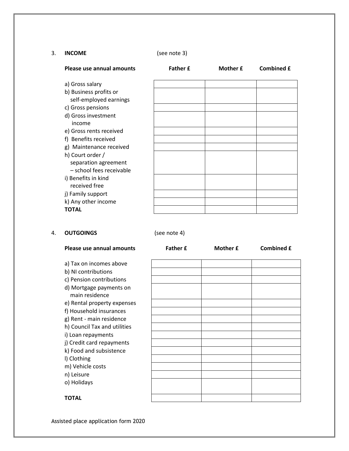#### 3. **INCOME** (see note 3)

| Please use annual amounts                        | <b>Father £</b> | Mother £ | <b>Combined £</b> |
|--------------------------------------------------|-----------------|----------|-------------------|
| a) Gross salary                                  |                 |          |                   |
| b) Business profits or<br>self-employed earnings |                 |          |                   |
| c) Gross pensions                                |                 |          |                   |
| d) Gross investment                              |                 |          |                   |
| income<br>e) Gross rents received                |                 |          |                   |
| f) Benefits received                             |                 |          |                   |
| g) Maintenance received                          |                 |          |                   |
| h) Court order /                                 |                 |          |                   |
| separation agreement<br>- school fees receivable |                 |          |                   |
| i) Benefits in kind<br>received free             |                 |          |                   |
| j) Family support                                |                 |          |                   |
| k) Any other income                              |                 |          |                   |
| <b>TOTAL</b>                                     |                 |          |                   |

#### 4. **OUTGOINGS** (see note 4)

| Please use annual amounts                 | <b>Father £</b> | Mother £ | <b>Combined £</b> |
|-------------------------------------------|-----------------|----------|-------------------|
| a) Tax on incomes above                   |                 |          |                   |
| b) NI contributions                       |                 |          |                   |
| c) Pension contributions                  |                 |          |                   |
| d) Mortgage payments on<br>main residence |                 |          |                   |
| e) Rental property expenses               |                 |          |                   |
| f) Household insurances                   |                 |          |                   |
| g) Rent - main residence                  |                 |          |                   |
| h) Council Tax and utilities              |                 |          |                   |
| i) Loan repayments                        |                 |          |                   |
| j) Credit card repayments                 |                 |          |                   |
| k) Food and subsistence                   |                 |          |                   |
| I) Clothing                               |                 |          |                   |
| m) Vehicle costs                          |                 |          |                   |
| n) Leisure                                |                 |          |                   |
| o) Holidays                               |                 |          |                   |
| <b>TOTAL</b>                              |                 |          |                   |

**TOTAL**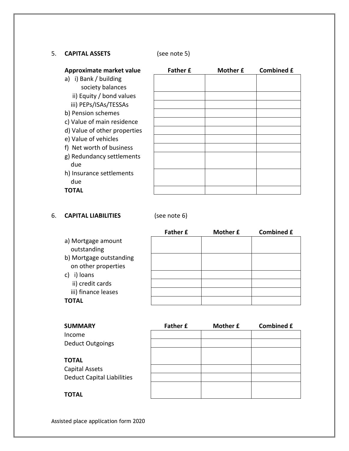#### 5. **CAPITAL ASSETS** (see note 5)

| Approximate market value     | <b>Father £</b> | Mother £ | <b>Combined £</b> |
|------------------------------|-----------------|----------|-------------------|
| i) Bank / building<br>a)     |                 |          |                   |
| society balances             |                 |          |                   |
| ii) Equity / bond values     |                 |          |                   |
| iii) PEPs/ISAs/TESSAs        |                 |          |                   |
| b) Pension schemes           |                 |          |                   |
| c) Value of main residence   |                 |          |                   |
| d) Value of other properties |                 |          |                   |
| e) Value of vehicles         |                 |          |                   |
| f) Net worth of business     |                 |          |                   |
| g) Redundancy settlements    |                 |          |                   |
| due                          |                 |          |                   |
| h) Insurance settlements     |                 |          |                   |
| due                          |                 |          |                   |
| TOTAL                        |                 |          |                   |

#### 6. **CAPITAL LIABILITIES** (see note 6)

| <b>Father £</b> | Mother £ | <b>Combined £</b> |
|-----------------|----------|-------------------|
|                 |          |                   |
|                 |          |                   |
|                 |          |                   |
|                 |          |                   |
|                 |          |                   |
|                 |          |                   |
|                 |          |                   |
|                 |          |                   |
|                 |          |                   |

| <b>SUMMARY</b>                    | <b>Father £</b> | Mother £ | <b>Combined £</b> |
|-----------------------------------|-----------------|----------|-------------------|
| Income                            |                 |          |                   |
| Deduct Outgoings                  |                 |          |                   |
|                                   |                 |          |                   |
| TOTAL                             |                 |          |                   |
| Capital Assets                    |                 |          |                   |
| <b>Deduct Capital Liabilities</b> |                 |          |                   |
|                                   |                 |          |                   |
| TOTAL                             |                 |          |                   |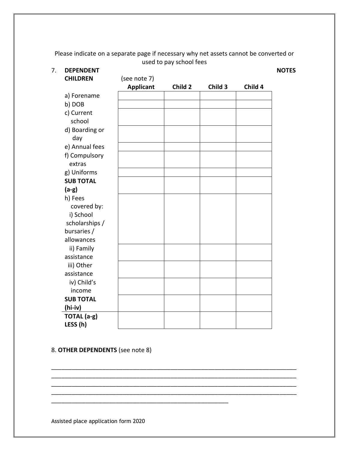Please indicate on a separate page if necessary why net assets cannot be converted or used to pay school fees

| <b>DEPENDENT</b> |                  |         |         |         | <b>NOTES</b> |
|------------------|------------------|---------|---------|---------|--------------|
| <b>CHILDREN</b>  | (see note 7)     |         |         |         |              |
|                  | <b>Applicant</b> | Child 2 | Child 3 | Child 4 |              |
| a) Forename      |                  |         |         |         |              |
| b) DOB           |                  |         |         |         |              |
| c) Current       |                  |         |         |         |              |
| school           |                  |         |         |         |              |
| d) Boarding or   |                  |         |         |         |              |
| day              |                  |         |         |         |              |
| e) Annual fees   |                  |         |         |         |              |
| f) Compulsory    |                  |         |         |         |              |
| extras           |                  |         |         |         |              |
| g) Uniforms      |                  |         |         |         |              |
| <b>SUB TOTAL</b> |                  |         |         |         |              |
| $(a-g)$          |                  |         |         |         |              |
| h) Fees          |                  |         |         |         |              |
| covered by:      |                  |         |         |         |              |
| i) School        |                  |         |         |         |              |
| scholarships /   |                  |         |         |         |              |
| bursaries /      |                  |         |         |         |              |
| allowances       |                  |         |         |         |              |
| ii) Family       |                  |         |         |         |              |
| assistance       |                  |         |         |         |              |
| iii) Other       |                  |         |         |         |              |
| assistance       |                  |         |         |         |              |
| iv) Child's      |                  |         |         |         |              |
| income           |                  |         |         |         |              |
| <b>SUB TOTAL</b> |                  |         |         |         |              |
| (hi-iv)          |                  |         |         |         |              |
| TOTAL (a-g)      |                  |         |         |         |              |
| LESS (h)         |                  |         |         |         |              |

\_\_\_\_\_\_\_\_\_\_\_\_\_\_\_\_\_\_\_\_\_\_\_\_\_\_\_\_\_\_\_\_\_\_\_\_\_\_\_\_\_\_\_\_\_\_\_\_\_\_\_\_\_\_\_\_\_\_\_\_\_\_\_\_\_\_\_\_\_\_\_\_ \_\_\_\_\_\_\_\_\_\_\_\_\_\_\_\_\_\_\_\_\_\_\_\_\_\_\_\_\_\_\_\_\_\_\_\_\_\_\_\_\_\_\_\_\_\_\_\_\_\_\_\_\_\_\_\_\_\_\_\_\_\_\_\_\_\_\_\_\_\_\_\_ \_\_\_\_\_\_\_\_\_\_\_\_\_\_\_\_\_\_\_\_\_\_\_\_\_\_\_\_\_\_\_\_\_\_\_\_\_\_\_\_\_\_\_\_\_\_\_\_\_\_\_\_\_\_\_\_\_\_\_\_\_\_\_\_\_\_\_\_\_\_\_\_ \_\_\_\_\_\_\_\_\_\_\_\_\_\_\_\_\_\_\_\_\_\_\_\_\_\_\_\_\_\_\_\_\_\_\_\_\_\_\_\_\_\_\_\_\_\_\_\_\_\_\_\_\_\_\_\_\_\_\_\_\_\_\_\_\_\_\_\_\_\_\_\_

\_\_\_\_\_\_\_\_\_\_\_\_\_\_\_\_\_\_\_\_\_\_\_\_\_\_\_\_\_\_\_\_\_\_\_\_\_\_\_\_\_\_\_\_\_\_\_\_\_\_\_\_

#### 8. **OTHER DEPENDENTS** (see note 8)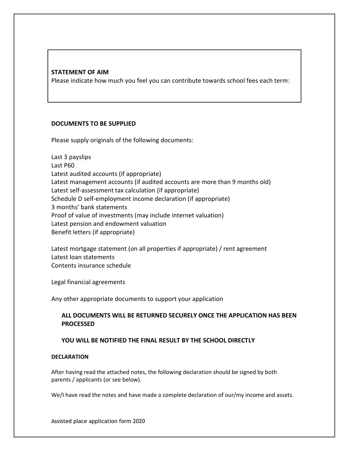#### **STATEMENT OF AIM**

Please indicate how much you feel you can contribute towards school fees each term:

#### **DOCUMENTS TO BE SUPPLIED**

Please supply originals of the following documents:

Last 3 payslips Last P60 Latest audited accounts (if appropriate) Latest management accounts (if audited accounts are more than 9 months old) Latest self-assessment tax calculation (if appropriate) Schedule D self-employment income declaration (if appropriate) 3 months' bank statements Proof of value of investments (may include internet valuation) Latest pension and endowment valuation Benefit letters (if appropriate)

Latest mortgage statement (on all properties if appropriate) / rent agreement Latest loan statements Contents insurance schedule

Legal financial agreements

Any other appropriate documents to support your application

#### **ALL DOCUMENTS WILL BE RETURNED SECURELY ONCE THE APPLICATION HAS BEEN PROCESSED**

#### **YOU WILL BE NOTIFIED THE FINAL RESULT BY THE SCHOOL DIRECTLY**

#### **DECLARATION**

After having read the attached notes, the following declaration should be signed by both parents / applicants (or see below).

We/I have read the notes and have made a complete declaration of our/my income and assets.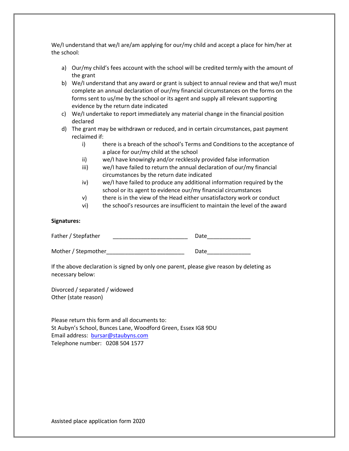We/I understand that we/I are/am applying for our/my child and accept a place for him/her at the school:

- a) Our/my child's fees account with the school will be credited termly with the amount of the grant
- b) We/I understand that any award or grant is subject to annual review and that we/I must complete an annual declaration of our/my financial circumstances on the forms on the forms sent to us/me by the school or its agent and supply all relevant supporting evidence by the return date indicated
- c) We/I undertake to report immediately any material change in the financial position declared
- d) The grant may be withdrawn or reduced, and in certain circumstances, past payment reclaimed if:
	- i) there is a breach of the school's Terms and Conditions to the acceptance of a place for our/my child at the school
	- ii) we/I have knowingly and/or recklessly provided false information
	- iii) we/I have failed to return the annual declaration of our/my financial circumstances by the return date indicated
	- iv) we/I have failed to produce any additional information required by the school or its agent to evidence our/my financial circumstances
	- v) there is in the view of the Head either unsatisfactory work or conduct
	- vi) the school's resources are insufficient to maintain the level of the award

#### **Signatures:**

| Father / Stepfather | Date |
|---------------------|------|
|                     |      |

Mother / Stepmother dentity and the control of Date

If the above declaration is signed by only one parent, please give reason by deleting as necessary below:

Divorced / separated / widowed Other (state reason)

Please return this form and all documents to: St Aubyn's School, Bunces Lane, Woodford Green, Essex IG8 9DU Email address: [bursar@staubyns.com](mailto:bursar@staubyns.com)  Telephone number: 0208 504 1577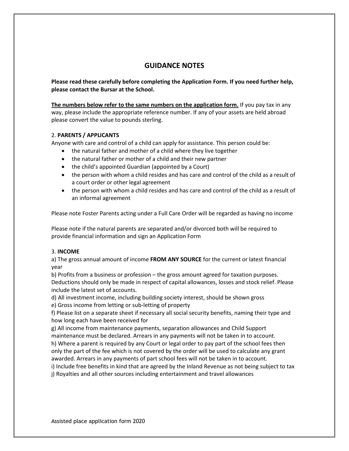#### **GUIDANCE NOTES**

**Please read these carefully before completing the Application Form. If you need further help, please contact the Bursar at the School.**

**The numbers below refer to the same numbers on the application form.** If you pay tax in any way, please include the appropriate reference number. If any of your assets are held abroad please convert the value to pounds sterling.

#### 2. **PARENTS / APPLICANTS**

Anyone with care and control of a child can apply for assistance. This person could be:

- the natural father and mother of a child where they live together
- the natural father or mother of a child and their new partner
- the child's appointed Guardian (appointed by a Court)
- the person with whom a child resides and has care and control of the child as a result of a court order or other legal agreement
- the person with whom a child resides and has care and control of the child as a result of an informal agreement

Please note Foster Parents acting under a Full Care Order will be regarded as having no income

Please note if the natural parents are separated and/or divorced both will be required to provide financial information and sign an Application Form

#### 3. **INCOME**

a) The gross annual amount of income **FROM ANY SOURCE** for the current or latest financial year

b) Profits from a business or profession – the gross amount agreed for taxation purposes. Deductions should only be made in respect of capital allowances, losses and stock relief. Please include the latest set of accounts.

d) All investment income, including building society interest, should be shown gross

e) Gross income from letting or sub-letting of property

f) Please list on a separate sheet if necessary all social security benefits, naming their type and how long each have been received for

g) All income from maintenance payments, separation allowances and Child Support maintenance must be declared. Arrears in any payments will not be taken in to account. h) Where a parent is required by any Court or legal order to pay part of the school fees then only the part of the fee which is not covered by the order will be used to calculate any grant awarded. Arrears in any payments of part school fees will not be taken in to account.

i) Include free benefits in kind that are agreed by the Inland Revenue as not being subject to tax j) Royalties and all other sources including entertainment and travel allowances